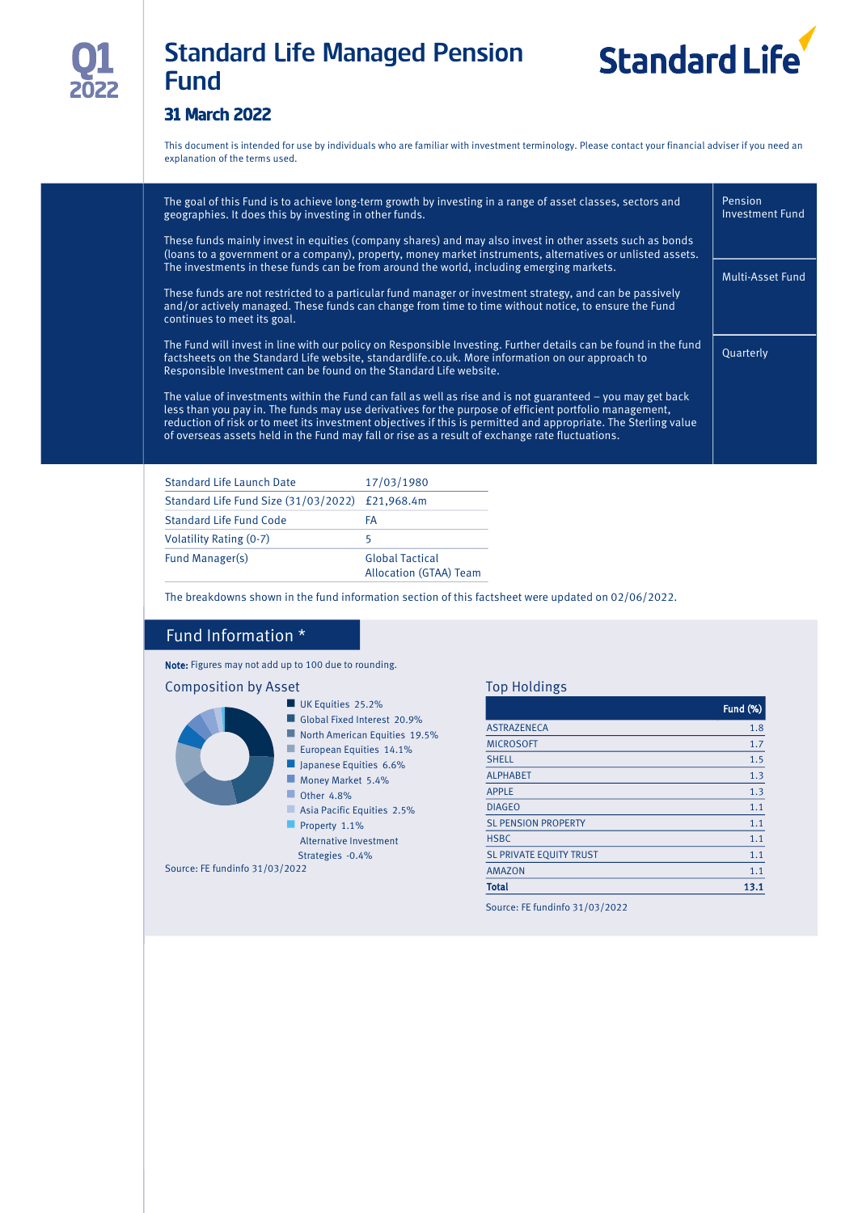

# Standard Life Managed Pension Fund



### 31 March 2022

This document is intended for use by individuals who are familiar with investment terminology. Please contact your financial adviser if you need an explanation of the terms used.

| The goal of this Fund is to achieve long-term growth by investing in a range of asset classes, sectors and<br>geographies. It does this by investing in other funds.                                                                                                                                                                                                                                                                       | Pension<br><b>Investment Fund</b> |
|--------------------------------------------------------------------------------------------------------------------------------------------------------------------------------------------------------------------------------------------------------------------------------------------------------------------------------------------------------------------------------------------------------------------------------------------|-----------------------------------|
| These funds mainly invest in equities (company shares) and may also invest in other assets such as bonds<br>(loans to a government or a company), property, money market instruments, alternatives or unlisted assets.                                                                                                                                                                                                                     |                                   |
| The investments in these funds can be from around the world, including emerging markets.                                                                                                                                                                                                                                                                                                                                                   | Multi-Asset Fund                  |
| These funds are not restricted to a particular fund manager or investment strategy, and can be passively<br>and/or actively managed. These funds can change from time to time without notice, to ensure the Fund<br>continues to meet its goal.                                                                                                                                                                                            |                                   |
| The Fund will invest in line with our policy on Responsible Investing. Further details can be found in the fund<br>factsheets on the Standard Life website, standardlife.co.uk. More information on our approach to<br>Responsible Investment can be found on the Standard Life website.                                                                                                                                                   | Quarterly                         |
| The value of investments within the Fund can fall as well as rise and is not guaranteed – you may get back<br>less than you pay in. The funds may use derivatives for the purpose of efficient portfolio management,<br>reduction of risk or to meet its investment objectives if this is permitted and appropriate. The Sterling value<br>of overseas assets held in the Fund may fall or rise as a result of exchange rate fluctuations. |                                   |

| Standard Life Launch Date                       | 17/03/1980                                       |
|-------------------------------------------------|--------------------------------------------------|
| Standard Life Fund Size (31/03/2022) £21,968.4m |                                                  |
| Standard Life Fund Code                         | FA                                               |
| Volatility Rating (0-7)                         | 5                                                |
| Fund Manager(s)                                 | <b>Global Tactical</b><br>Allocation (GTAA) Team |

The breakdowns shown in the fund information section of this factsheet were updated on 02/06/2022.

#### Fund Information \*

Note: Figures may not add up to 100 due to rounding.

#### Composition by Asset



#### Top Holdings

| <b>ASTRAZENECA</b><br><b>MICROSOFT</b><br><b>SHELL</b><br><b>ALPHABET</b><br><b>APPLE</b> | <b>Fund (%)</b> |
|-------------------------------------------------------------------------------------------|-----------------|
|                                                                                           | 1.8             |
|                                                                                           | 1.7             |
|                                                                                           | 1.5             |
|                                                                                           | 1.3             |
|                                                                                           | 1.3             |
| <b>DIAGEO</b>                                                                             | 1.1             |
| <b>SL PENSION PROPERTY</b>                                                                | 1.1             |
| <b>HSBC</b>                                                                               | 1.1             |
| <b>SL PRIVATE EQUITY TRUST</b>                                                            | 1.1             |
| <b>AMAZON</b>                                                                             | 1.1             |
| <b>Total</b>                                                                              | 13.1            |

Source: FE fundinfo 31/03/2022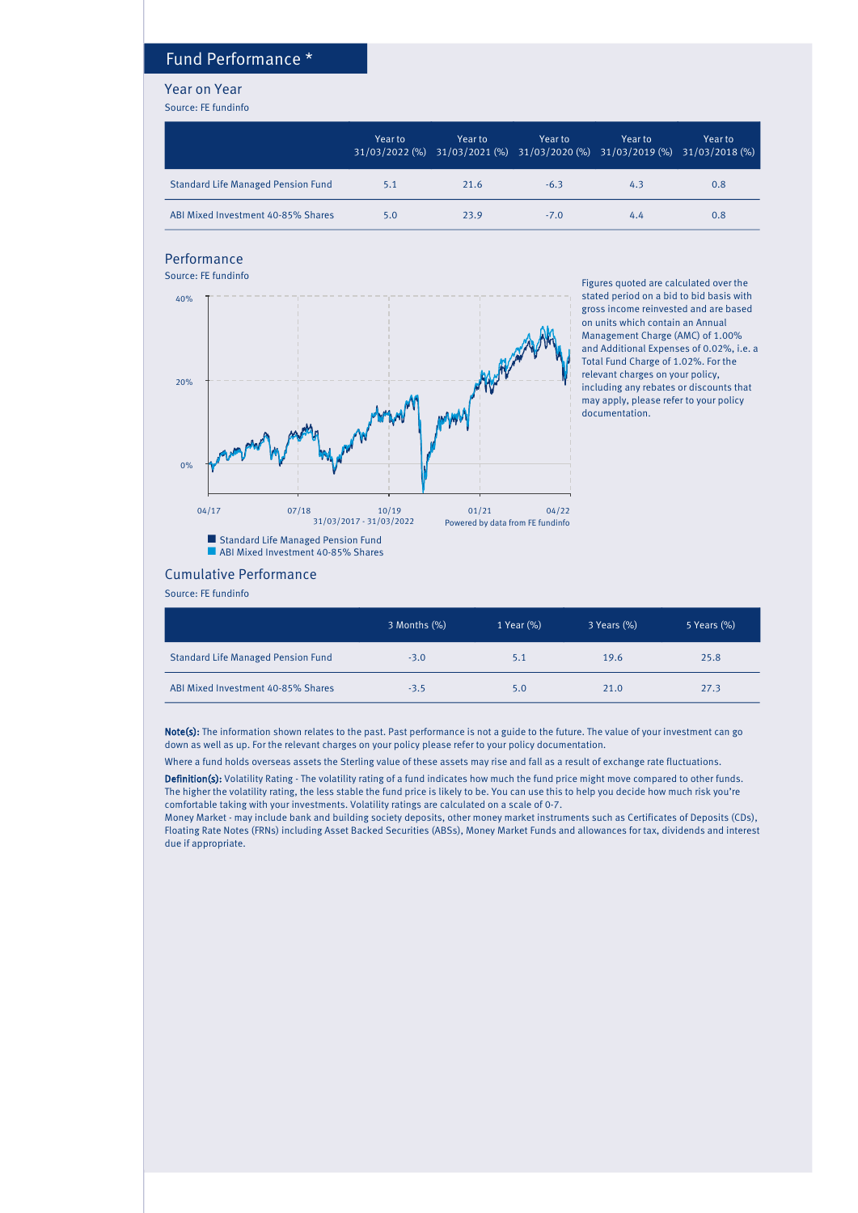## Fund Performance \*

#### Year on Year

Source: FE fundinfo

|                                           | Year to | Year to<br>31/03/2022 (%) 31/03/2021 (%) 31/03/2020 (%) 31/03/2019 (%) 31/03/2018 (%) | Year to | Year to | Year to |
|-------------------------------------------|---------|---------------------------------------------------------------------------------------|---------|---------|---------|
| <b>Standard Life Managed Pension Fund</b> | 5.1     | 21.6                                                                                  | $-6.3$  | 4.3     | 0.8     |
| ABI Mixed Investment 40-85% Shares        | 5.0     | 23.9                                                                                  | $-7.0$  | 4.4     | 0.8     |

## Performance

Source: FE fundinfo



Figures quoted are calculated over the stated period on a bid to bid basis with gross income reinvested and are based on units which contain an Annual Management Charge (AMC) of 1.00% and Additional Expenses of 0.02%, i.e. a Total Fund Charge of 1.02%. For the relevant charges on your policy, including any rebates or discounts that may apply, please refer to your policy documentation.

#### Cumulative Performance

Source: FE fundinfo

|                                           | 3 Months (%) | 1 Year (%) | 3 Years (%) | 5 Years (%) |
|-------------------------------------------|--------------|------------|-------------|-------------|
| <b>Standard Life Managed Pension Fund</b> | $-3.0$       | 5.1        | 19.6        | 25.8        |
| ABI Mixed Investment 40-85% Shares        | $-3.5$       | 5.0        | 21.0        | 27.3        |

Note(s): The information shown relates to the past. Past performance is not a guide to the future. The value of your investment can go down as well as up. For the relevant charges on your policy please refer to your policy documentation.

Where a fund holds overseas assets the Sterling value of these assets may rise and fall as a result of exchange rate fluctuations.

Definition(s): Volatility Rating - The volatility rating of a fund indicates how much the fund price might move compared to other funds. The higher the volatility rating, the less stable the fund price is likely to be. You can use this to help you decide how much risk you're comfortable taking with your investments. Volatility ratings are calculated on a scale of 0-7.

Money Market - may include bank and building society deposits, other money market instruments such as Certificates of Deposits (CDs), Floating Rate Notes (FRNs) including Asset Backed Securities (ABSs), Money Market Funds and allowances for tax, dividends and interest due if appropriate.